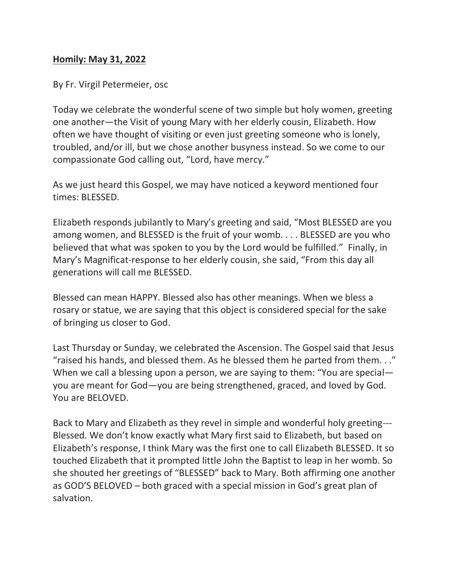## **Homily: May 31, 2022**

By Fr. Virgil Petermeier, osc

Today we celebrate the wonderful scene of two simple but holy women, greeting one another—the Visit of young Mary with her elderly cousin, Elizabeth. How often we have thought of visiting or even just greeting someone who is lonely, troubled, and/or ill, but we chose another busyness instead. So we come to our compassionate God calling out, "Lord, have mercy."

As we just heard this Gospel, we may have noticed a keyword mentioned four times: BLESSED.

Elizabeth responds jubilantly to Mary's greeting and said, "Most BLESSED are you among women, and BLESSED is the fruit of your womb. . . . BLESSED are you who believed that what was spoken to you by the Lord would be fulfilled." Finally, in Mary's Magnificat-response to her elderly cousin, she said, "From this day all generations will call me BLESSED.

Blessed can mean HAPPY. Blessed also has other meanings. When we bless a rosary or statue, we are saying that this object is considered special for the sake of bringing us closer to God.

Last Thursday or Sunday, we celebrated the Ascension. The Gospel said that Jesus "raised his hands, and blessed them. As he blessed them he parted from them. . ." When we call a blessing upon a person, we are saying to them: "You are special you are meant for God—you are being strengthened, graced, and loved by God. You are BELOVED.

Back to Mary and Elizabeth as they revel in simple and wonderful holy greeting--- Blessed. We don't know exactly what Mary first said to Elizabeth, but based on Elizabeth's response, I think Mary was the first one to call Elizabeth BLESSED. It so touched Elizabeth that it prompted little John the Baptist to leap in her womb. So she shouted her greetings of "BLESSED" back to Mary. Both affirming one another as GOD'S BELOVED – both graced with a special mission in God's great plan of salvation.